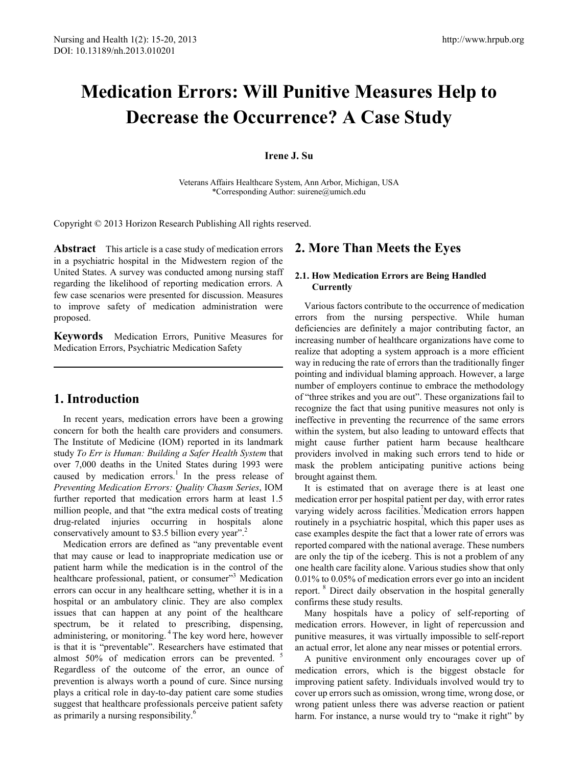# **Medication Errors: Will Punitive Measures Help to Decrease the Occurrence? A Case Study**

## **Irene J. Su**

Veterans Affairs Healthcare System, Ann Arbor, Michigan, USA \*Corresponding Author: suirene@umich.edu

Copyright © 2013 Horizon Research Publishing All rights reserved.

**Abstract** This article is a case study of medication errors in a psychiatric hospital in the Midwestern region of the United States. A survey was conducted among nursing staff regarding the likelihood of reporting medication errors. A few case scenarios were presented for discussion. Measures to improve safety of medication administration were proposed.

**Keywords** Medication Errors, Punitive Measures for Medication Errors, Psychiatric Medication Safety

## **1. Introduction**

In recent years, medication errors have been a growing concern for both the health care providers and consumers. The Institute of Medicine (IOM) reported in its landmark study *To Err is Human: Building a Safer Health System* that over 7,000 deaths in the United States during 1993 were caused by medication errors.<sup>1</sup> In the press release of *Preventing Medication Errors: Quality Chasm Series*, IOM further reported that medication errors harm at least 1.5 million people, and that "the extra medical costs of treating drug-related injuries occurring in hospitals alone conservatively amount to \$3.5 billion every year".<sup>2</sup>

Medication errors are defined as "any preventable event that may cause or lead to inappropriate medication use or patient harm while the medication is in the control of the healthcare professional, patient, or consumer"<sup>3</sup> Medication errors can occur in any healthcare setting, whether it is in a hospital or an ambulatory clinic. They are also complex issues that can happen at any point of the healthcare spectrum, be it related to prescribing, dispensing, administering, or monitoring. 4 The key word here, however is that it is "preventable". Researchers have estimated that almost 50% of medication errors can be prevented. <sup>5</sup> Regardless of the outcome of the error, an ounce of prevention is always worth a pound of cure. Since nursing plays a critical role in day-to-day patient care some studies suggest that healthcare professionals perceive patient safety as primarily a nursing responsibility.<sup>6</sup>

## **2. More Than Meets the Eyes**

## **2.1. How Medication Errors are Being Handled Currently**

Various factors contribute to the occurrence of medication errors from the nursing perspective. While human deficiencies are definitely a major contributing factor, an increasing number of healthcare organizations have come to realize that adopting a system approach is a more efficient way in reducing the rate of errors than the traditionally finger pointing and individual blaming approach. However, a large number of employers continue to embrace the methodology of "three strikes and you are out". These organizations fail to recognize the fact that using punitive measures not only is ineffective in preventing the recurrence of the same errors within the system, but also leading to untoward effects that might cause further patient harm because healthcare providers involved in making such errors tend to hide or mask the problem anticipating punitive actions being brought against them.

It is estimated that on average there is at least one medication error per hospital patient per day, with error rates varying widely across facilities.<sup>7</sup>Medication errors happen routinely in a psychiatric hospital, which this paper uses as case examples despite the fact that a lower rate of errors was reported compared with the national average. These numbers are only the tip of the iceberg. This is not a problem of any one health care facility alone. Various studies show that only 0.01% to 0.05% of medication errors ever go into an incident report. <sup>8</sup> Direct daily observation in the hospital generally confirms these study results.

Many hospitals have a policy of self-reporting of medication errors. However, in light of repercussion and punitive measures, it was virtually impossible to self-report an actual error, let alone any near misses or potential errors.

A punitive environment only encourages cover up of medication errors, which is the biggest obstacle for improving patient safety. Individuals involved would try to cover up errors such as omission, wrong time, wrong dose, or wrong patient unless there was adverse reaction or patient harm. For instance, a nurse would try to "make it right" by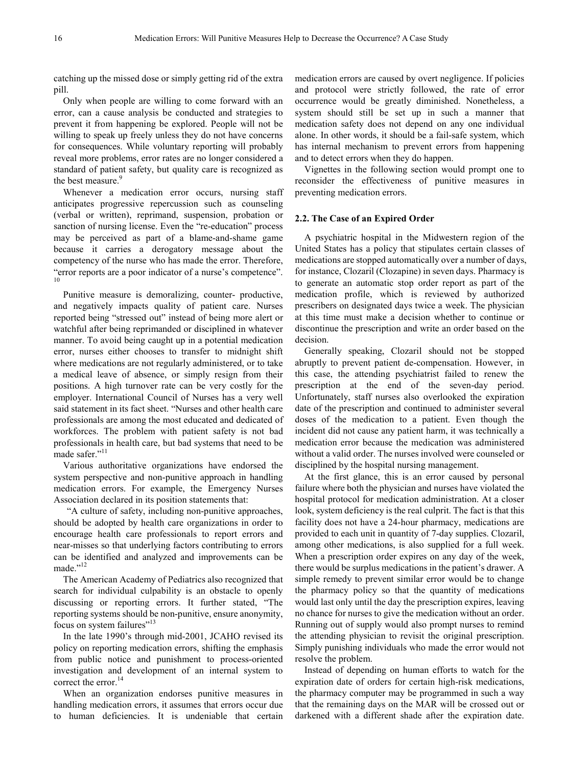catching up the missed dose or simply getting rid of the extra pill.

Only when people are willing to come forward with an error, can a cause analysis be conducted and strategies to prevent it from happening be explored. People will not be willing to speak up freely unless they do not have concerns for consequences. While voluntary reporting will probably reveal more problems, error rates are no longer considered a standard of patient safety, but quality care is recognized as the best measure.<sup>9</sup>

Whenever a medication error occurs, nursing staff anticipates progressive repercussion such as counseling (verbal or written), reprimand, suspension, probation or sanction of nursing license. Even the "re-education" process may be perceived as part of a blame-and-shame game because it carries a derogatory message about the competency of the nurse who has made the error. Therefore, "error reports are a poor indicator of a nurse's competence". 10

Punitive measure is demoralizing, counter- productive, and negatively impacts quality of patient care. Nurses reported being "stressed out" instead of being more alert or watchful after being reprimanded or disciplined in whatever manner. To avoid being caught up in a potential medication error, nurses either chooses to transfer to midnight shift where medications are not regularly administered, or to take a medical leave of absence, or simply resign from their positions. A high turnover rate can be very costly for the employer. International Council of Nurses has a very well said statement in its fact sheet. "Nurses and other health care professionals are among the most educated and dedicated of workforces. The problem with patient safety is not bad professionals in health care, but bad systems that need to be made safer."<sup>11</sup>

Various authoritative organizations have endorsed the system perspective and non-punitive approach in handling medication errors. For example, the Emergency Nurses Association declared in its position statements that:

"A culture of safety, including non-punitive approaches, should be adopted by health care organizations in order to encourage health care professionals to report errors and near-misses so that underlying factors contributing to errors can be identified and analyzed and improvements can be made."<sup>12</sup>

The American Academy of Pediatrics also recognized that search for individual culpability is an obstacle to openly discussing or reporting errors. It further stated, "The reporting systems should be non-punitive, ensure anonymity, focus on system failures"<sup>13</sup>

In the late 1990's through mid-2001, JCAHO revised its policy on reporting medication errors, shifting the emphasis from public notice and punishment to process-oriented investigation and development of an internal system to correct the error.<sup>14</sup>

When an organization endorses punitive measures in handling medication errors, it assumes that errors occur due to human deficiencies. It is undeniable that certain

medication errors are caused by overt negligence. If policies and protocol were strictly followed, the rate of error occurrence would be greatly diminished. Nonetheless, a system should still be set up in such a manner that medication safety does not depend on any one individual alone. In other words, it should be a fail-safe system, which has internal mechanism to prevent errors from happening and to detect errors when they do happen.

Vignettes in the following section would prompt one to reconsider the effectiveness of punitive measures in preventing medication errors.

#### **2.2. The Case of an Expired Order**

A psychiatric hospital in the Midwestern region of the United States has a policy that stipulates certain classes of medications are stopped automatically over a number of days, for instance, Clozaril (Clozapine) in seven days. Pharmacy is to generate an automatic stop order report as part of the medication profile, which is reviewed by authorized prescribers on designated days twice a week. The physician at this time must make a decision whether to continue or discontinue the prescription and write an order based on the decision.

Generally speaking, Clozaril should not be stopped abruptly to prevent patient de-compensation. However, in this case, the attending psychiatrist failed to renew the prescription at the end of the seven-day period. Unfortunately, staff nurses also overlooked the expiration date of the prescription and continued to administer several doses of the medication to a patient. Even though the incident did not cause any patient harm, it was technically a medication error because the medication was administered without a valid order. The nurses involved were counseled or disciplined by the hospital nursing management.

At the first glance, this is an error caused by personal failure where both the physician and nurses have violated the hospital protocol for medication administration. At a closer look, system deficiency is the real culprit. The fact is that this facility does not have a 24-hour pharmacy, medications are provided to each unit in quantity of 7-day supplies. Clozaril, among other medications, is also supplied for a full week. When a prescription order expires on any day of the week, there would be surplus medications in the patient's drawer. A simple remedy to prevent similar error would be to change the pharmacy policy so that the quantity of medications would last only until the day the prescription expires, leaving no chance for nurses to give the medication without an order. Running out of supply would also prompt nurses to remind the attending physician to revisit the original prescription. Simply punishing individuals who made the error would not resolve the problem.

Instead of depending on human efforts to watch for the expiration date of orders for certain high-risk medications, the pharmacy computer may be programmed in such a way that the remaining days on the MAR will be crossed out or darkened with a different shade after the expiration date.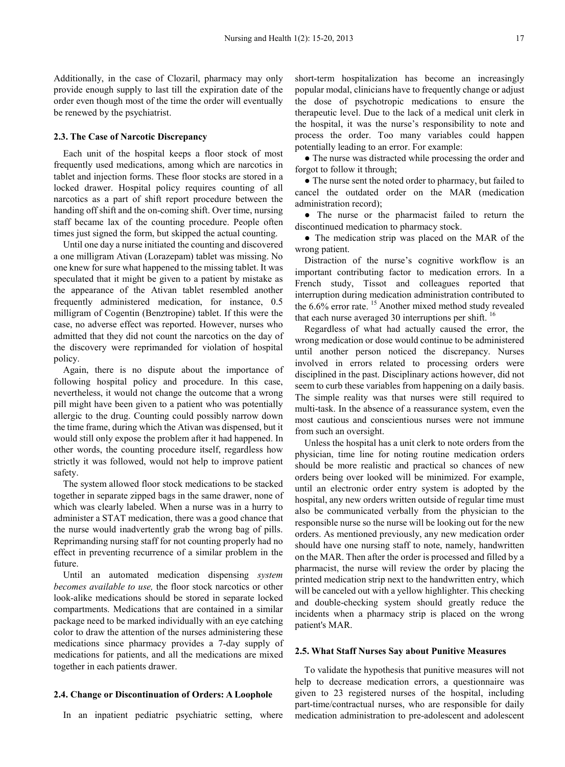Additionally, in the case of Clozaril, pharmacy may only provide enough supply to last till the expiration date of the order even though most of the time the order will eventually be renewed by the psychiatrist.

## **2.3. The Case of Narcotic Discrepancy**

Each unit of the hospital keeps a floor stock of most frequently used medications, among which are narcotics in tablet and injection forms. These floor stocks are stored in a locked drawer. Hospital policy requires counting of all narcotics as a part of shift report procedure between the handing off shift and the on-coming shift. Over time, nursing staff became lax of the counting procedure. People often times just signed the form, but skipped the actual counting.

Until one day a nurse initiated the counting and discovered a one milligram Ativan (Lorazepam) tablet was missing. No one knew for sure what happened to the missing tablet. It was speculated that it might be given to a patient by mistake as the appearance of the Ativan tablet resembled another frequently administered medication, for instance, 0.5 milligram of Cogentin (Benztropine) tablet. If this were the case, no adverse effect was reported. However, nurses who admitted that they did not count the narcotics on the day of the discovery were reprimanded for violation of hospital policy.

Again, there is no dispute about the importance of following hospital policy and procedure. In this case, nevertheless, it would not change the outcome that a wrong pill might have been given to a patient who was potentially allergic to the drug. Counting could possibly narrow down the time frame, during which the Ativan was dispensed, but it would still only expose the problem after it had happened. In other words, the counting procedure itself, regardless how strictly it was followed, would not help to improve patient safety.

The system allowed floor stock medications to be stacked together in separate zipped bags in the same drawer, none of which was clearly labeled. When a nurse was in a hurry to administer a STAT medication, there was a good chance that the nurse would inadvertently grab the wrong bag of pills. Reprimanding nursing staff for not counting properly had no effect in preventing recurrence of a similar problem in the future.

Until an automated medication dispensing *system becomes available to use,* the floor stock narcotics or other look-alike medications should be stored in separate locked compartments. Medications that are contained in a similar package need to be marked individually with an eye catching color to draw the attention of the nurses administering these medications since pharmacy provides a 7-day supply of medications for patients, and all the medications are mixed together in each patients drawer.

#### **2.4. Change or Discontinuation of Orders: A Loophole**

In an inpatient pediatric psychiatric setting, where

short-term hospitalization has become an increasingly popular modal, clinicians have to frequently change or adjust the dose of psychotropic medications to ensure the therapeutic level. Due to the lack of a medical unit clerk in the hospital, it was the nurse's responsibility to note and process the order. Too many variables could happen potentially leading to an error. For example:

● The nurse was distracted while processing the order and forgot to follow it through;

• The nurse sent the noted order to pharmacy, but failed to cancel the outdated order on the MAR (medication administration record);

● The nurse or the pharmacist failed to return the discontinued medication to pharmacy stock.

• The medication strip was placed on the MAR of the wrong patient.

Distraction of the nurse's cognitive workflow is an important contributing factor to medication errors. In a French study, Tissot and colleagues reported that interruption during medication administration contributed to the  $6.6\%$  error rate. <sup>15</sup> Another mixed method study revealed that each nurse averaged 30 interruptions per shift.  $^{16}$ 

Regardless of what had actually caused the error, the wrong medication or dose would continue to be administered until another person noticed the discrepancy. Nurses involved in errors related to processing orders were disciplined in the past. Disciplinary actions however, did not seem to curb these variables from happening on a daily basis. The simple reality was that nurses were still required to multi-task. In the absence of a reassurance system, even the most cautious and conscientious nurses were not immune from such an oversight.

Unless the hospital has a unit clerk to note orders from the physician, time line for noting routine medication orders should be more realistic and practical so chances of new orders being over looked will be minimized. For example, until an electronic order entry system is adopted by the hospital, any new orders written outside of regular time must also be communicated verbally from the physician to the responsible nurse so the nurse will be looking out for the new orders. As mentioned previously, any new medication order should have one nursing staff to note, namely, handwritten on the MAR. Then after the order is processed and filled by a pharmacist, the nurse will review the order by placing the printed medication strip next to the handwritten entry, which will be canceled out with a yellow highlighter. This checking and double-checking system should greatly reduce the incidents when a pharmacy strip is placed on the wrong patient's MAR.

#### **2.5. What Staff Nurses Say about Punitive Measures**

To validate the hypothesis that punitive measures will not help to decrease medication errors, a questionnaire was given to 23 registered nurses of the hospital, including part-time/contractual nurses, who are responsible for daily medication administration to pre-adolescent and adolescent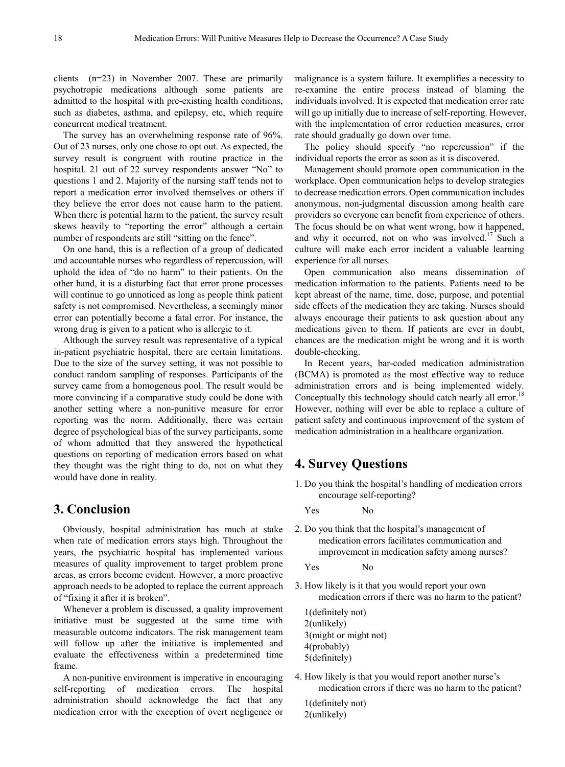clients (n=23) in November 2007. These are primarily psychotropic medications although some patients are admitted to the hospital with pre-existing health conditions, such as diabetes, asthma, and epilepsy, etc, which require concurrent medical treatment.

The survey has an overwhelming response rate of 96%. Out of 23 nurses, only one chose to opt out. As expected, the survey result is congruent with routine practice in the hospital. 21 out of 22 survey respondents answer "No" to questions 1 and 2. Majority of the nursing staff tends not to report a medication error involved themselves or others if they believe the error does not cause harm to the patient. When there is potential harm to the patient, the survey result skews heavily to "reporting the error" although a certain number of respondents are still "sitting on the fence".

On one hand, this is a reflection of a group of dedicated and accountable nurses who regardless of repercussion, will uphold the idea of "do no harm" to their patients. On the other hand, it is a disturbing fact that error prone processes will continue to go unnoticed as long as people think patient safety is not compromised. Nevertheless, a seemingly minor error can potentially become a fatal error. For instance, the wrong drug is given to a patient who is allergic to it.

Although the survey result was representative of a typical in-patient psychiatric hospital, there are certain limitations. Due to the size of the survey setting, it was not possible to conduct random sampling of responses. Participants of the survey came from a homogenous pool. The result would be more convincing if a comparative study could be done with another setting where a non-punitive measure for error reporting was the norm. Additionally, there was certain degree of psychological bias of the survey participants, some of whom admitted that they answered the hypothetical questions on reporting of medication errors based on what they thought was the right thing to do, not on what they would have done in reality.

## **3. Conclusion**

Obviously, hospital administration has much at stake when rate of medication errors stays high. Throughout the years, the psychiatric hospital has implemented various measures of quality improvement to target problem prone areas, as errors become evident. However, a more proactive approach needs to be adopted to replace the current approach of "fixing it after it is broken".

Whenever a problem is discussed, a quality improvement initiative must be suggested at the same time with measurable outcome indicators. The risk management team will follow up after the initiative is implemented and evaluate the effectiveness within a predetermined time frame.

A non-punitive environment is imperative in encouraging self-reporting of medication errors. The hospital administration should acknowledge the fact that any medication error with the exception of overt negligence or

malignance is a system failure. It exemplifies a necessity to re-examine the entire process instead of blaming the individuals involved. It is expected that medication error rate will go up initially due to increase of self-reporting. However, with the implementation of error reduction measures, error rate should gradually go down over time.

The policy should specify "no repercussion" if the individual reports the error as soon as it is discovered.

Management should promote open communication in the workplace. Open communication helps to develop strategies to decrease medication errors. Open communication includes anonymous, non-judgmental discussion among health care providers so everyone can benefit from experience of others. The focus should be on what went wrong, how it happened, and why it occurred, not on who was involved.<sup>17</sup> Such a culture will make each error incident a valuable learning experience for all nurses.

Open communication also means dissemination of medication information to the patients. Patients need to be kept abreast of the name, time, dose, purpose, and potential side effects of the medication they are taking. Nurses should always encourage their patients to ask question about any medications given to them. If patients are ever in doubt, chances are the medication might be wrong and it is worth double-checking.

In Recent years, bar-coded medication administration (BCMA) is promoted as the most effective way to reduce administration errors and is being implemented widely. Conceptually this technology should catch nearly all error.<sup>18</sup> However, nothing will ever be able to replace a culture of patient safety and continuous improvement of the system of medication administration in a healthcare organization.

## **4. Survey Questions**

1. Do you think the hospital's handling of medication errors encourage self-reporting?

Yes No

2. Do you think that the hospital's management of medication errors facilitates communication and improvement in medication safety among nurses?

Yes No

3. How likely is it that you would report your own medication errors if there was no harm to the patient?

1(definitely not) 2(unlikely) 3(might or might not) 4(probably) 5(definitely)

4. How likely is that you would report another nurse's medication errors if there was no harm to the patient?

1(definitely not) 2(unlikely)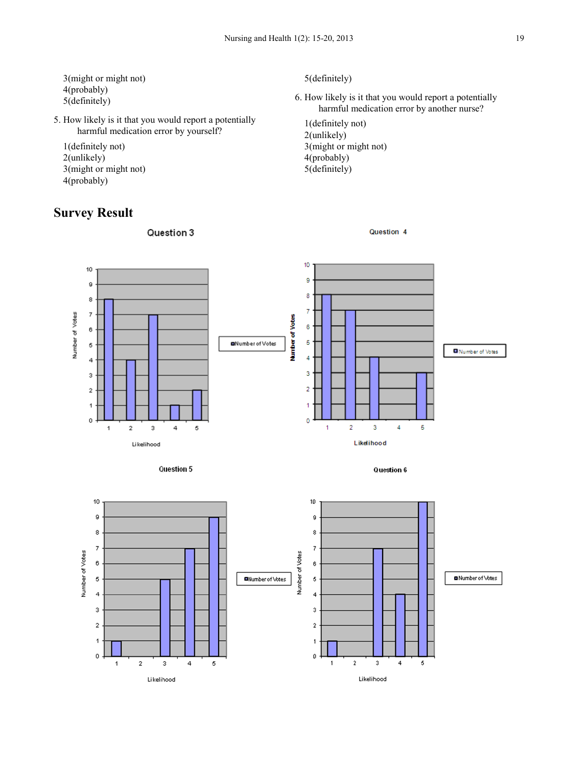- 3(might or might not) 4(probably) 5(definitely)
- 5. How likely is it that you would report a potentially harmful medication error by yourself?
	- 1(definitely not) 2(unlikely) 3(might or might not) 4(probably)

# **Survey Result**

Question 3

5(definitely)

6. How likely is it that you would report a potentially harmful medication error by another nurse?

Question 4

1(definitely not) 2(unlikely) 3(might or might not) 4(probably) 5(definitely)





Question 6